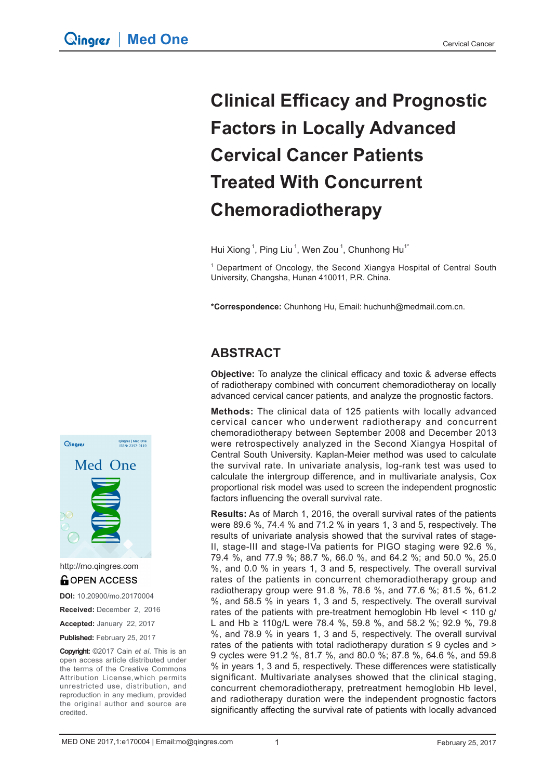# **Clinical Efficacy and Prognostic Factors in Locally Advanced Cervical Cancer Patients Treated With Concurrent Chemoradiotherapy**

Hui Xiong<sup>1</sup>, Ping Liu<sup>1</sup>, Wen Zou<sup>1</sup>, Chunhong Hu<sup>1\*</sup>

<sup>1</sup> Department of Oncology, the Second Xiangya Hospital of Central South University, Changsha, Hunan 410011, P.R. China.

**\*Correspondence:** Chunhong Hu, Email: huchunh@medmail.com.cn.

# **ABSTRACT**

**Objective:** To analyze the clinical efficacy and toxic & adverse effects of radiotherapy combined with concurrent chemoradiotheray on locally advanced cervical cancer patients, and analyze the prognostic factors.

**Methods:** The clinical data of 125 patients with locally advanced cervical cancer who underwent radiotherapy and concurrent chemoradiotherapy between September 2008 and December 2013 were retrospectively analyzed in the Second Xiangya Hospital of Central South University. Kaplan-Meier method was used to calculate the survival rate. In univariate analysis, log-rank test was used to calculate the intergroup difference, and in multivariate analysis, Cox proportional risk model was used to screen the independent prognostic factors influencing the overall survival rate.

**Results:** As of March 1, 2016, the overall survival rates of the patients were 89.6 %, 74.4 % and 71.2 % in years 1, 3 and 5, respectively. The results of univariate analysis showed that the survival rates of stage-II, stage-III and stage-IVa patients for PIGO staging were 92.6 %, 79.4 %, and 77.9 %; 88.7 %, 66.0 %, and 64.2 %; and 50.0 %, 25.0 %, and 0.0 % in years 1, 3 and 5, respectively. The overall survival rates of the patients in concurrent chemoradiotherapy group and radiotherapy group were 91.8 %, 78.6 %, and 77.6 %; 81.5 %, 61.2 %, and 58.5 % in years 1, 3 and 5, respectively. The overall survival rates of the patients with pre-treatment hemoglobin Hb level < 110 g/ L and Hb ≥ 110g/L were 78.4 %, 59.8 %, and 58.2 %; 92.9 %, 79.8 %, and 78.9 % in years 1, 3 and 5, respectively. The overall survival rates of the patients with total radiotherapy duration  $\leq 9$  cycles and  $\geq$ 9 cycles were 91.2 %, 81.7 %, and 80.0 %; 87.8 %, 64.6 %, and 59.8 % in years 1, 3 and 5, respectively. These differences were statistically significant. Multivariate analyses showed that the clinical staging, concurrent chemoradiotherapy, pretreatment hemoglobin Hb level, and radiotherapy duration were the independent prognostic factors significantly affecting the survival rate of patients with locally advanced



http://mo.qingres.com**GOPEN ACCESS** 

**DOI:** 10.20900/mo.20170004

**Received:** December 2, 2016

**Accepted:** January 22, 2017

**Published:** February 25, 2017

**Copyright:** ©2017 Cain *et al*. This is an open access article distributed under the terms of the Creative Commons Attribution License,which permits unrestricted use, distribution, and reproduction in any medium, provided the original author and source are credited.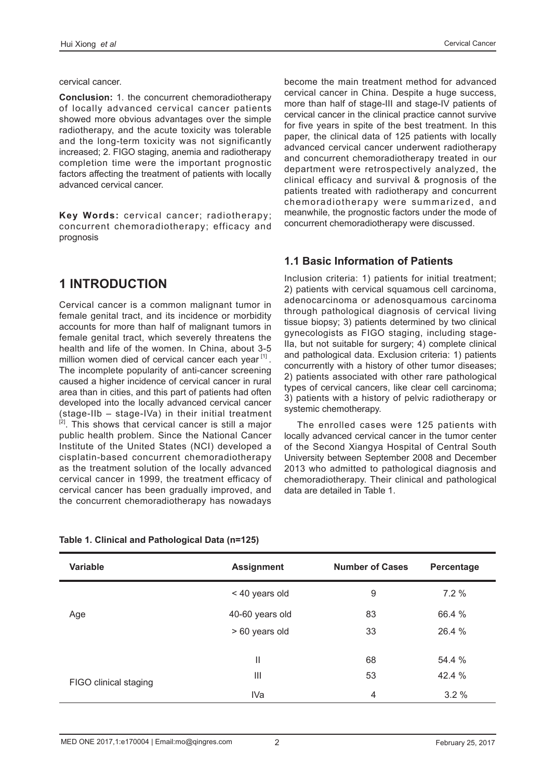cervical cancer.

**Conclusion:** 1. the concurrent chemoradiotherapy of locally advanced cervical cancer patients showed more obvious advantages over the simple radiotherapy, and the acute toxicity was tolerable and the long-term toxicity was not significantly increased; 2. FIGO staging, anemia and radiotherapy completion time were the important prognostic factors affecting the treatment of patients with locally advanced cervical cancer.

**Key Words:** cervical cancer; radiotherapy; concurrent chemoradiotherapy; efficacy and prognosis

## **1 INTRODUCTION**

Cervical cancer is a common malignant tumor in female genital tract, and its incidence or morbidity accounts for more than half of malignant tumors in female genital tract, which severely threatens the health and life of the women. In China, about 3-5 million women died of cervical cancer each year [1]. The incomplete popularity of anti-cancer screening caused a higher incidence of cervical cancer in rural area than in cities, and this part of patients had often developed into the locally advanced cervical cancer (stage-IIb – stage-IVa) in their initial treatment <sup>[2]</sup>. This shows that cervical cancer is still a major public health problem. Since the National Cancer Institute of the United States (NCI) developed a cisplatin-based concurrent chemoradiotherapy as the treatment solution of the locally advanced cervical cancer in 1999, the treatment efficacy of cervical cancer has been gradually improved, and the concurrent chemoradiotherapy has nowadays

become the main treatment method for advanced cervical cancer in China. Despite a huge success, more than half of stage-III and stage-IV patients of cervical cancer in the clinical practice cannot survive for five years in spite of the best treatment. In this paper, the clinical data of 125 patients with locally advanced cervical cancer underwent radiotherapy and concurrent chemoradiotherapy treated in our department were retrospectively analyzed, the clinical efficacy and survival & prognosis of the patients treated with radiotherapy and concurrent chemoradiotherapy were summarized, and meanwhile, the prognostic factors under the mode of concurrent chemoradiotherapy were discussed.

#### **1.1 Basic Information of Patients**

Inclusion criteria: 1) patients for initial treatment; 2) patients with cervical squamous cell carcinoma, adenocarcinoma or adenosquamous carcinoma through pathological diagnosis of cervical living tissue biopsy; 3) patients determined by two clinical gynecologists as FIGO staging, including stage-IIa, but not suitable for surgery; 4) complete clinical and pathological data. Exclusion criteria: 1) patients concurrently with a history of other tumor diseases; 2) patients associated with other rare pathological types of cervical cancers, like clear cell carcinoma; 3) patients with a history of pelvic radiotherapy or systemic chemotherapy.

The enrolled cases were 125 patients with locally advanced cervical cancer in the tumor center of the Second Xiangya Hospital of Central South University between September 2008 and December 2013 who admitted to pathological diagnosis and chemoradiotherapy. Their clinical and pathological data are detailed in Table 1.

| <b>Variable</b>       | <b>Assignment</b> | <b>Number of Cases</b> | Percentage |
|-----------------------|-------------------|------------------------|------------|
|                       | < 40 years old    | 9                      | 7.2%       |
| Age                   | 40-60 years old   | 83                     | 66.4 %     |
|                       | > 60 years old    | 33                     | 26.4 %     |
|                       |                   |                        |            |
|                       | Ш                 | 68                     | 54.4 %     |
| FIGO clinical staging | Ш                 | 53                     | 42.4 %     |
|                       | IVa               | 4                      | 3.2%       |

#### **Table 1. Clinical and Pathological Data (n=125)**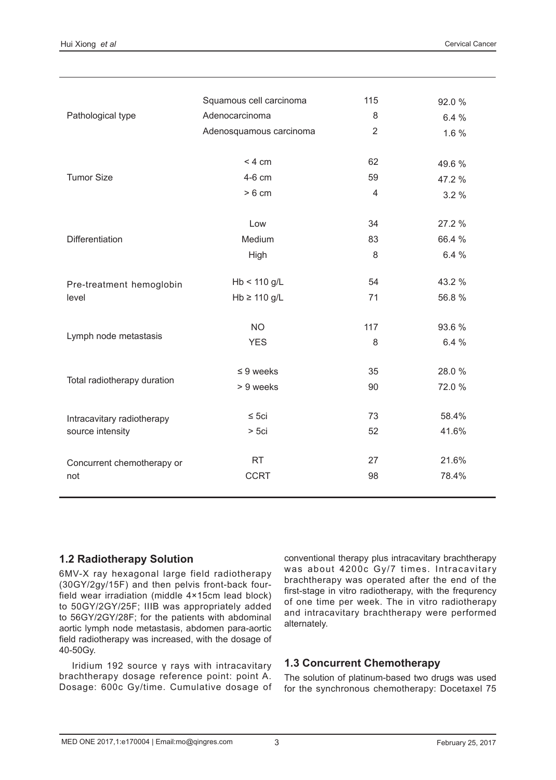|                             | Squamous cell carcinoma | 115            | 92.0 % |
|-----------------------------|-------------------------|----------------|--------|
| Pathological type           | Adenocarcinoma          | 8              | 6.4 %  |
|                             | Adenosquamous carcinoma | $\overline{2}$ | 1.6 %  |
|                             |                         |                |        |
|                             | < 4 cm                  | 62             | 49.6%  |
| <b>Tumor Size</b>           | 4-6 cm                  | 59             | 47.2 % |
|                             | > 6 cm                  | $\overline{4}$ | 3.2%   |
|                             |                         |                |        |
|                             | Low                     | 34             | 27.2 % |
| Differentiation             | Medium                  | 83             | 66.4 % |
|                             | High                    | 8              | 6.4 %  |
|                             |                         |                |        |
| Pre-treatment hemoglobin    | $Hb < 110$ g/L          | 54             | 43.2 % |
| level                       | $Hb \ge 110$ g/L        | 71             | 56.8%  |
|                             |                         |                |        |
| Lymph node metastasis       | <b>NO</b>               | 117            | 93.6%  |
|                             | <b>YES</b>              | 8              | 6.4 %  |
|                             | $\leq 9$ weeks          | 35             | 28.0%  |
| Total radiotherapy duration | > 9 weeks               | 90             | 72.0 % |
|                             |                         |                |        |
| Intracavitary radiotherapy  | $\leq$ 5ci              | 73             | 58.4%  |
| source intensity            | $>$ 5 $ci$              | 52             | 41.6%  |
|                             |                         |                |        |
| Concurrent chemotherapy or  | <b>RT</b>               | 27             | 21.6%  |
| not                         | <b>CCRT</b>             | 98             | 78.4%  |
|                             |                         |                |        |

#### **1.2 Radiotherapy Solution**

6MV-X ray hexagonal large field radiotherapy (30GY/2gy/15F) and then pelvis front-back fourfield wear irradiation (middle 4×15cm lead block) to 50GY/2GY/25F; IIIB was appropriately added to 56GY/2GY/28F; for the patients with abdominal aortic lymph node metastasis, abdomen para-aortic field radiotherapy was increased, with the dosage of 40-50Gy.

Iridium 192 source γ rays with intracavitary brachtherapy dosage reference point: point A. Dosage: 600c Gy/time. Cumulative dosage of conventional therapy plus intracavitary brachtherapy was about 4200c Gy/7 times. Intracavitary brachtherapy was operated after the end of the first-stage in vitro radiotherapy, with the frequrency of one time per week. The in vitro radiotherapy and intracavitary brachtherapy were performed alternately.

#### **1.3 Concurrent Chemotherapy**

The solution of platinum-based two drugs was used for the synchronous chemotherapy: Docetaxel 75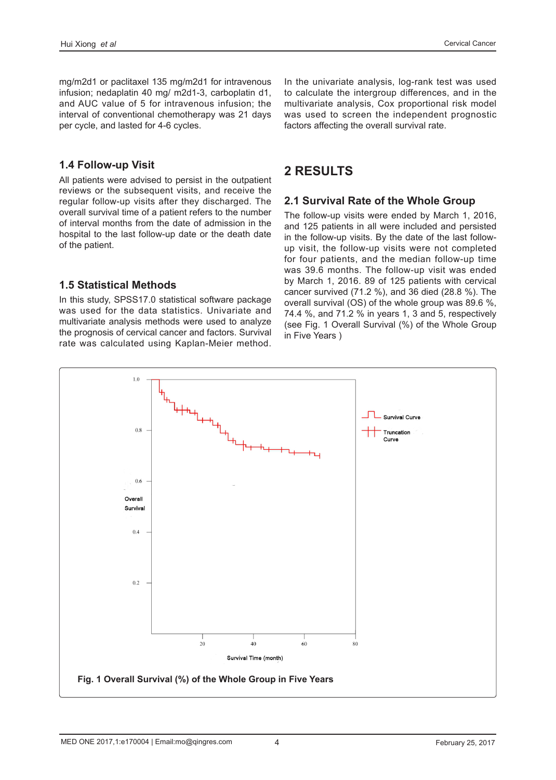mg/m2d1 or paclitaxel 135 mg/m2d1 for intravenous infusion; nedaplatin 40 mg/ m2d1-3, carboplatin d1, and AUC value of 5 for intravenous infusion; the interval of conventional chemotherapy was 21 days per cycle, and lasted for 4-6 cycles.

#### **1.4 Follow-up Visit**

All patients were advised to persist in the outpatient reviews or the subsequent visits, and receive the regular follow-up visits after they discharged. The overall survival time of a patient refers to the number of interval months from the date of admission in the hospital to the last follow-up date or the death date of the patient.

In the univariate analysis, log-rank test was used to calculate the intergroup differences, and in the multivariate analysis, Cox proportional risk model was used to screen the independent prognostic factors affecting the overall survival rate.

# **2 RESULTS**

#### **2.1 Survival Rate of the Whole Group**

The follow-up visits were ended by March 1, 2016, and 125 patients in all were included and persisted in the follow-up visits. By the date of the last followup visit, the follow-up visits were not completed for four patients, and the median follow-up time was 39.6 months. The follow-up visit was ended by March 1, 2016. 89 of 125 patients with cervical cancer survived (71.2 %), and 36 died (28.8 %). The overall survival (OS) of the whole group was 89.6 %, 74.4 %, and 71.2 % in years 1, 3 and 5, respectively (see Fig. 1 Overall Survival (%) of the Whole Group in Five Years )

# **1.5 Statistical Methods**

In this study, SPSS17.0 statistical software package was used for the data statistics. Univariate and multivariate analysis methods were used to analyze the prognosis of cervical cancer and factors. Survival rate was calculated using Kaplan-Meier method.

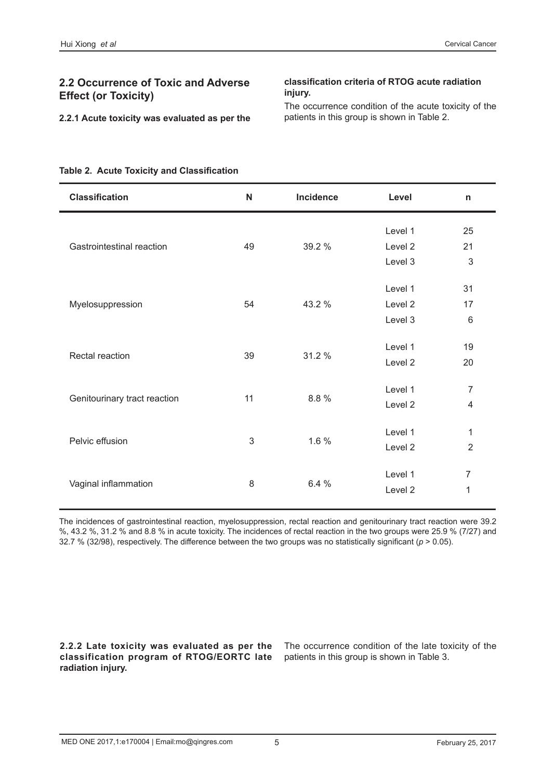#### **2.2 Occurrence of Toxic and Adverse Effect (or Toxicity)**

#### **classification criteria of RTOG acute radiation injury.**

**2.2.1 Acute toxicity was evaluated as per the** 

The occurrence condition of the acute toxicity of the patients in this group is shown in Table 2.

#### **Table 2. Acute Toxicity and Classification**

| <b>Classification</b>        | N  | Incidence | Level   | n                       |
|------------------------------|----|-----------|---------|-------------------------|
|                              |    |           | Level 1 | 25                      |
| Gastrointestinal reaction    | 49 | 39.2 %    | Level 2 | 21                      |
|                              |    |           | Level 3 | $\mathfrak{S}$          |
|                              |    |           | Level 1 | 31                      |
| Myelosuppression             | 54 | 43.2 %    | Level 2 | 17                      |
|                              |    |           | Level 3 | $6\phantom{1}6$         |
|                              | 39 | 31.2 %    | Level 1 | 19                      |
| Rectal reaction              |    |           | Level 2 | 20                      |
|                              |    |           | Level 1 | 7                       |
| Genitourinary tract reaction | 11 | 8.8%      | Level 2 | $\overline{\mathbf{4}}$ |
|                              |    |           | Level 1 | 1                       |
| Pelvic effusion              | 3  | 1.6 %     | Level 2 | $\overline{2}$          |
|                              |    |           | Level 1 | $\overline{7}$          |
| Vaginal inflammation         | 8  | 6.4 %     | Level 2 | 1                       |
|                              |    |           |         |                         |

The incidences of gastrointestinal reaction, myelosuppression, rectal reaction and genitourinary tract reaction were 39.2 %, 43.2 %, 31.2 % and 8.8 % in acute toxicity. The incidences of rectal reaction in the two groups were 25.9 % (7/27) and 32.7 % (32/98), respectively. The difference between the two groups was no statistically significant (*p* > 0.05).

**2.2.2 Late toxicity was evaluated as per the classification program of RTOG/EORTC late radiation injury.** 

The occurrence condition of the late toxicity of the patients in this group is shown in Table 3.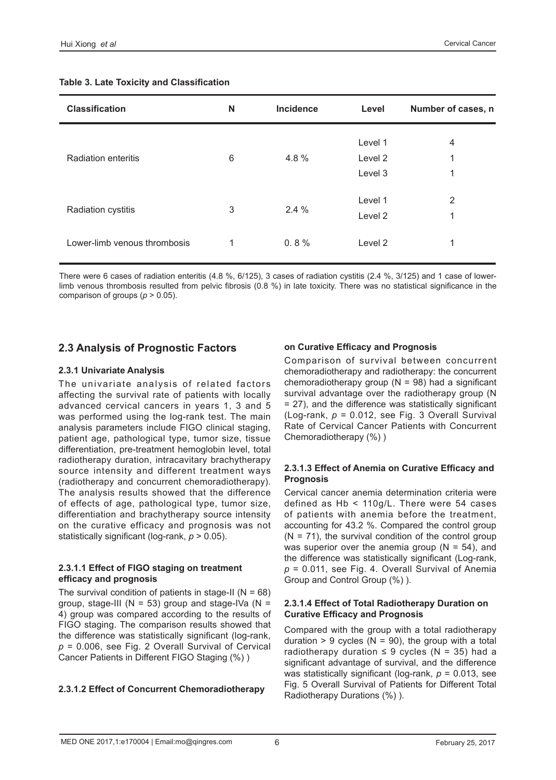| <b>Classification</b>        | N | <b>Incidence</b> | Level              | Number of cases, n |
|------------------------------|---|------------------|--------------------|--------------------|
| <b>Radiation enteritis</b>   | 6 | 4.8%             | Level 1<br>Level 2 | 4<br>1             |
|                              |   |                  | Level 3            | 1                  |
| <b>Radiation cystitis</b>    | 3 | 2.4%             | Level 1<br>Level 2 | 2<br>1             |
| Lower-limb venous thrombosis | 1 | 0.8%             | Level 2            | 1                  |

#### **Table 3. Late Toxicity and Classification**

There were 6 cases of radiation enteritis (4.8 %, 6/125), 3 cases of radiation cystitis (2.4 %, 3/125) and 1 case of lowerlimb venous thrombosis resulted from pelvic fibrosis (0.8 %) in late toxicity. There was no statistical significance in the comparison of groups (*p* > 0.05).

#### **2.3 Analysis of Prognostic Factors**

#### **2.3.1 Univariate Analysis**

The univariate analysis of related factors affecting the survival rate of patients with locally advanced cervical cancers in years 1, 3 and 5 was performed using the log-rank test. The main analysis parameters include FIGO clinical staging, patient age, pathological type, tumor size, tissue differentiation, pre-treatment hemoglobin level, total radiotherapy duration, intracavitary brachytherapy source intensity and different treatment ways (radiotherapy and concurrent chemoradiotherapy). The analysis results showed that the difference of effects of age, pathological type, tumor size, differentiation and brachytherapy source intensity on the curative efficacy and prognosis was not statistically significant (log-rank, *p* > 0.05).

#### **2.3.1.1 Effect of FIGO staging on treatment efficacy and prognosis**

The survival condition of patients in stage-II ( $N = 68$ ) group, stage-III ( $N = 53$ ) group and stage-IVa ( $N =$ 4) group was compared according to the results of FIGO staging. The comparison results showed that the difference was statistically significant (log-rank, *p* = 0.006, see Fig. 2 Overall Survival of Cervical Cancer Patients in Different FIGO Staging (%) )

#### **2.3.1.2 Effect of Concurrent Chemoradiotherapy**

#### **on Curative Efficacy and Prognosis**

Comparison of survival between concurrent chemoradiotherapy and radiotherapy: the concurrent chemoradiotherapy group ( $N = 98$ ) had a significant survival advantage over the radiotherapy group (N = 27), and the difference was statistically significant (Log-rank, *p* = 0.012, see Fig. 3 Overall Survival Rate of Cervical Cancer Patients with Concurrent Chemoradiotherapy (%) )

#### **2.3.1.3 Effect of Anemia on Curative Efficacy and Prognosis**

Cervical cancer anemia determination criteria were defined as Hb < 110g/L. There were 54 cases of patients with anemia before the treatment, accounting for 43.2 %. Compared the control group  $(N = 71)$ , the survival condition of the control group was superior over the anemia group ( $N = 54$ ), and the difference was statistically significant (Log-rank, *p* = 0.011, see Fig. 4. Overall Survival of Anemia Group and Control Group (%) ).

#### **2.3.1.4 Effect of Total Radiotherapy Duration on Curative Efficacy and Prognosis**

Compared with the group with a total radiotherapy duration  $> 9$  cycles (N = 90), the group with a total radiotherapy duration  $\leq$  9 cycles (N = 35) had a significant advantage of survival, and the difference was statistically significant (log-rank, *p* = 0.013, see Fig. 5 Overall Survival of Patients for Different Total Radiotherapy Durations (%) ).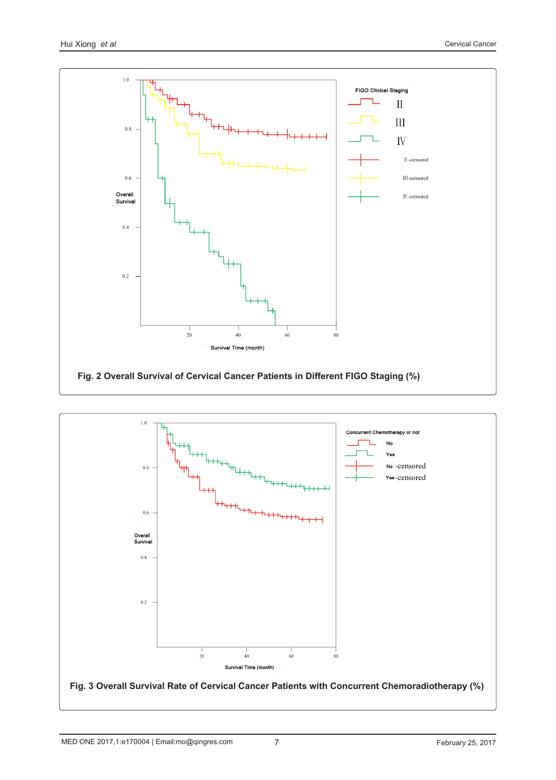

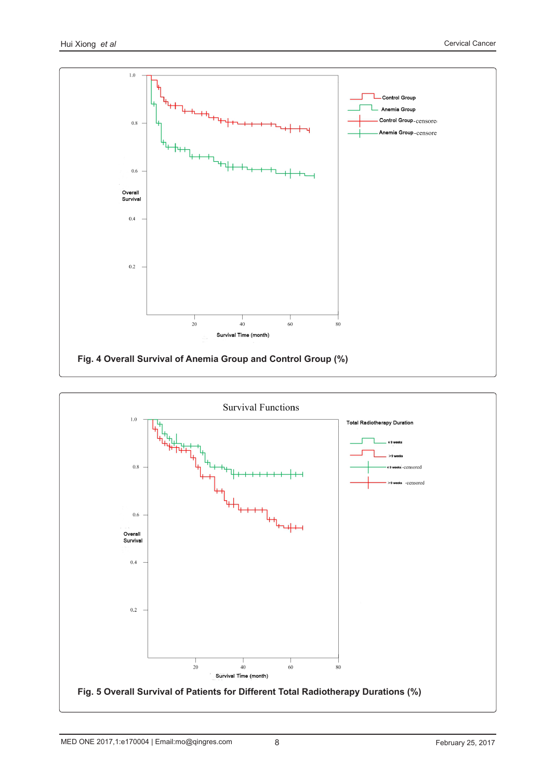

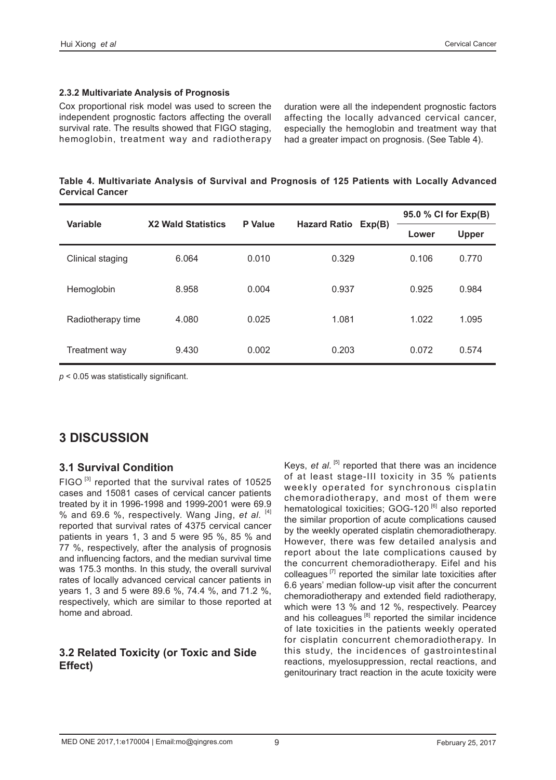#### **2.3.2 Multivariate Analysis of Prognosis**

Cox proportional risk model was used to screen the independent prognostic factors affecting the overall survival rate. The results showed that FIGO staging, hemoglobin, treatment way and radiotherapy duration were all the independent prognostic factors affecting the locally advanced cervical cancer, especially the hemoglobin and treatment way that had a greater impact on prognosis. (See Table 4).

|                        | Table 4. Multivariate Analysis of Survival and Prognosis of 125 Patients with Locally Advanced |  |  |  |  |  |
|------------------------|------------------------------------------------------------------------------------------------|--|--|--|--|--|
| <b>Cervical Cancer</b> |                                                                                                |  |  |  |  |  |

| <b>Variable</b>   |                           |                |                     | 95.0 % CI for Exp(B) |              |
|-------------------|---------------------------|----------------|---------------------|----------------------|--------------|
|                   | <b>X2 Wald Statistics</b> | <b>P</b> Value | Hazard Ratio Exp(B) | Lower                | <b>Upper</b> |
| Clinical staging  | 6.064                     | 0.010          | 0.329               | 0.106                | 0.770        |
| Hemoglobin        | 8.958                     | 0.004          | 0.937               | 0.925                | 0.984        |
| Radiotherapy time | 4.080                     | 0.025          | 1.081               | 1.022                | 1.095        |
| Treatment way     | 9.430                     | 0.002          | 0.203               | 0.072                | 0.574        |

*p* < 0.05 was statistically significant.

# **3 DISCUSSION**

#### **3.1 Survival Condition**

FIGO $^{[3]}$  reported that the survival rates of 10525 cases and 15081 cases of cervical cancer patients treated by it in 1996-1998 and 1999-2001 were 69.9 % and 69.6 %, respectively. Wang Jing, *et al.* [4] reported that survival rates of 4375 cervical cancer patients in years 1, 3 and 5 were 95 %, 85 % and 77 %, respectively, after the analysis of prognosis and influencing factors, and the median survival time was 175.3 months. In this study, the overall survival rates of locally advanced cervical cancer patients in years 1, 3 and 5 were 89.6 %, 74.4 %, and 71.2 %, respectively, which are similar to those reported at home and abroad.

### **3.2 Related Toxicity (or Toxic and Side Effect)**

Keys, *et al.* <sup>[5]</sup> reported that there was an incidence of at least stage-III toxicity in 35 % patients weekly operated for synchronous cisplatin chemoradiotherapy, and most of them were hematological toxicities; GOG-120<sup>[6]</sup> also reported the similar proportion of acute complications caused by the weekly operated cisplatin chemoradiotherapy. However, there was few detailed analysis and report about the late complications caused by the concurrent chemoradiotherapy. Eifel and his colleagues  $[7]$  reported the similar late toxicities after 6.6 years' median follow-up visit after the concurrent chemoradiotherapy and extended field radiotherapy, which were 13 % and 12 %, respectively. Pearcey and his colleagues<sup>[8]</sup> reported the similar incidence of late toxicities in the patients weekly operated for cisplatin concurrent chemoradiotherapy. In this study, the incidences of gastrointestinal reactions, myelosuppression, rectal reactions, and genitourinary tract reaction in the acute toxicity were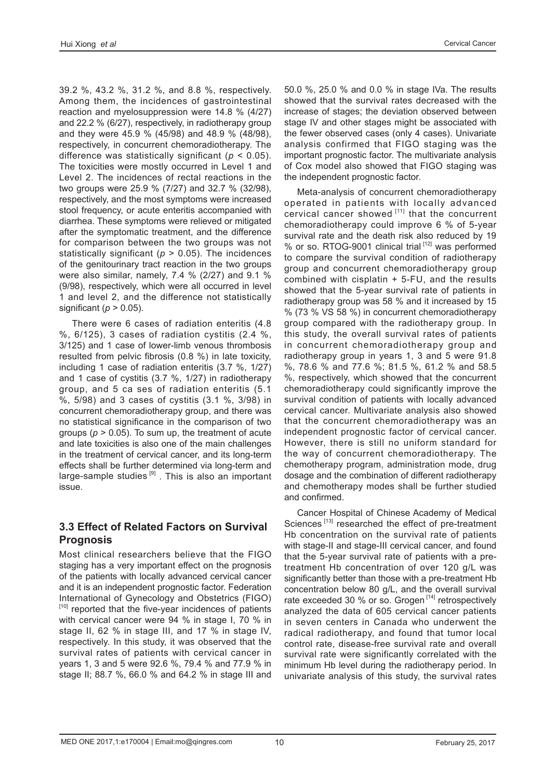39.2 %, 43.2 %, 31.2 %, and 8.8 %, respectively. Among them, the incidences of gastrointestinal reaction and myelosuppression were 14.8 % (4/27) and 22.2 % (6/27), respectively, in radiotherapy group and they were 45.9 % (45/98) and 48.9 % (48/98), respectively, in concurrent chemoradiotherapy. The difference was statistically significant (*p* < 0.05). The toxicities were mostly occurred in Level 1 and Level 2. The incidences of rectal reactions in the two groups were 25.9 % (7/27) and 32.7 % (32/98), respectively, and the most symptoms were increased stool frequency, or acute enteritis accompanied with diarrhea. These symptoms were relieved or mitigated after the symptomatic treatment, and the difference for comparison between the two groups was not statistically significant ( $p > 0.05$ ). The incidences of the genitourinary tract reaction in the two groups were also similar, namely, 7.4 % (2/27) and 9.1 % (9/98), respectively, which were all occurred in level 1 and level 2, and the difference not statistically significant ( $p > 0.05$ ).

There were 6 cases of radiation enteritis (4.8 %, 6/125), 3 cases of radiation cystitis (2.4 %, 3/125) and 1 case of lower-limb venous thrombosis resulted from pelvic fibrosis (0.8 %) in late toxicity, including 1 case of radiation enteritis (3.7 %, 1/27) and 1 case of cystitis (3.7 %, 1/27) in radiotherapy group, and 5 ca ses of radiation enteritis (5.1 %, 5/98) and 3 cases of cystitis (3.1 %, 3/98) in concurrent chemoradiotherapy group, and there was no statistical significance in the comparison of two groups  $(p > 0.05)$ . To sum up, the treatment of acute and late toxicities is also one of the main challenges in the treatment of cervical cancer, and its long-term effects shall be further determined via long-term and large-sample studies  $[9]$ . This is also an important issue.

#### **3.3 Effect of Related Factors on Survival Prognosis**

Most clinical researchers believe that the FIGO staging has a very important effect on the prognosis of the patients with locally advanced cervical cancer and it is an independent prognostic factor. Federation International of Gynecology and Obstetrics (FIGO) [10] reported that the five-year incidences of patients with cervical cancer were 94 % in stage I, 70 % in stage II, 62 % in stage III, and 17 % in stage IV, respectively. In this study, it was observed that the survival rates of patients with cervical cancer in years 1, 3 and 5 were 92.6 %, 79.4 % and 77.9 % in stage II; 88.7 %, 66.0 % and 64.2 % in stage III and

50.0 %, 25.0 % and 0.0 % in stage IVa. The results showed that the survival rates decreased with the increase of stages; the deviation observed between stage IV and other stages might be associated with the fewer observed cases (only 4 cases). Univariate analysis confirmed that FIGO staging was the important prognostic factor. The multivariate analysis of Cox model also showed that FIGO staging was the independent prognostic factor.

Meta-analysis of concurrent chemoradiotherapy operated in patients with locally advanced cervical cancer showed [11] that the concurrent chemoradiotherapy could improve 6 % of 5-year survival rate and the death risk also reduced by 19 % or so. RTOG-9001 clinical trial [12] was performed to compare the survival condition of radiotherapy group and concurrent chemoradiotherapy group combined with cisplatin + 5-FU, and the results showed that the 5-year survival rate of patients in radiotherapy group was 58 % and it increased by 15 % (73 % VS 58 %) in concurrent chemoradiotherapy group compared with the radiotherapy group. In this study, the overall survival rates of patients in concurrent chemoradiotherapy group and radiotherapy group in years 1, 3 and 5 were 91.8 %, 78.6 % and 77.6 %; 81.5 %, 61.2 % and 58.5 %, respectively, which showed that the concurrent chemoradiotherapy could significantly improve the survival condition of patients with locally advanced cervical cancer. Multivariate analysis also showed that the concurrent chemoradiotherapy was an independent prognostic factor of cervical cancer. However, there is still no uniform standard for the way of concurrent chemoradiotherapy. The chemotherapy program, administration mode, drug dosage and the combination of different radiotherapy and chemotherapy modes shall be further studied and confirmed.

Cancer Hospital of Chinese Academy of Medical Sciences<sup>[13]</sup> researched the effect of pre-treatment Hb concentration on the survival rate of patients with stage-II and stage-III cervical cancer, and found that the 5-year survival rate of patients with a pretreatment Hb concentration of over 120 g/L was significantly better than those with a pre-treatment Hb concentration below 80 g/L, and the overall survival rate exceeded 30 % or so. Grogen [14] retrospectively analyzed the data of 605 cervical cancer patients in seven centers in Canada who underwent the radical radiotherapy, and found that tumor local control rate, disease-free survival rate and overall survival rate were significantly correlated with the minimum Hb level during the radiotherapy period. In univariate analysis of this study, the survival rates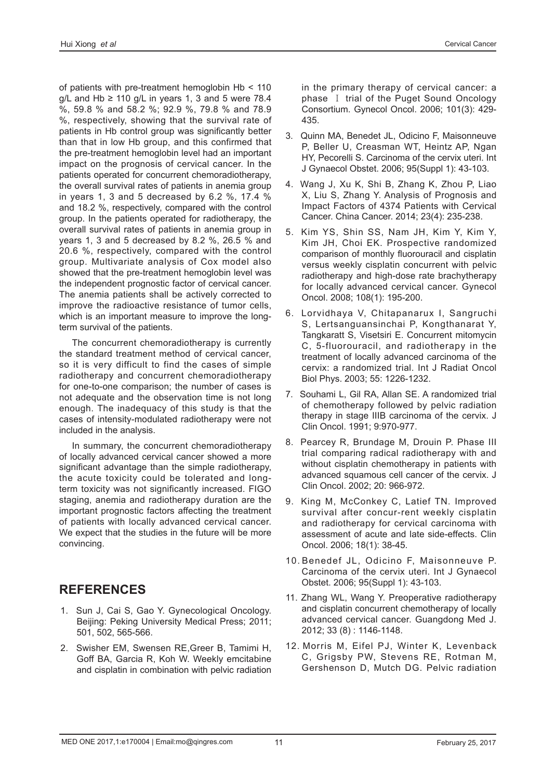of patients with pre-treatment hemoglobin Hb < 110  $q/L$  and Hb  $\geq$  110  $q/L$  in vears 1, 3 and 5 were 78.4 %, 59.8 % and 58.2 %; 92.9 %, 79.8 % and 78.9 %, respectively, showing that the survival rate of patients in Hb control group was significantly better than that in low Hb group, and this confirmed that the pre-treatment hemoglobin level had an important impact on the prognosis of cervical cancer. In the patients operated for concurrent chemoradiotherapy, the overall survival rates of patients in anemia group in years 1, 3 and 5 decreased by 6.2 %, 17.4 % and 18.2 %, respectively, compared with the control group. In the patients operated for radiotherapy, the overall survival rates of patients in anemia group in years 1, 3 and 5 decreased by 8.2 %, 26.5 % and 20.6 %, respectively, compared with the control group. Multivariate analysis of Cox model also showed that the pre-treatment hemoglobin level was the independent prognostic factor of cervical cancer. The anemia patients shall be actively corrected to improve the radioactive resistance of tumor cells, which is an important measure to improve the longterm survival of the patients.

The concurrent chemoradiotherapy is currently the standard treatment method of cervical cancer, so it is very difficult to find the cases of simple radiotherapy and concurrent chemoradiotherapy for one-to-one comparison; the number of cases is not adequate and the observation time is not long enough. The inadequacy of this study is that the cases of intensity-modulated radiotherapy were not included in the analysis.

In summary, the concurrent chemoradiotherapy of locally advanced cervical cancer showed a more significant advantage than the simple radiotherapy, the acute toxicity could be tolerated and longterm toxicity was not significantly increased. FIGO staging, anemia and radiotherapy duration are the important prognostic factors affecting the treatment of patients with locally advanced cervical cancer. We expect that the studies in the future will be more convincing.

# **REFERENCES**

- 1. Sun J, Cai S, Gao Y. Gynecological Oncology. Beijing: Peking University Medical Press; 2011; 501, 502, 565-566.
- 2. Swisher EM, Swensen RE,Greer B, Tamimi H, Goff BA, Garcia R, Koh W. Weekly emcitabine and cisplatin in combination with pelvic radiation

in the primary therapy of cervical cancer: a phase Ⅰ trial of the Puget Sound Oncology Consortium. Gynecol Oncol. 2006; 101(3): 429- 435.

- 3. Quinn MA, Benedet JL, Odicino F, Maisonneuve P, Beller U, Creasman WT, Heintz AP, Ngan HY, Pecorelli S. Carcinoma of the cervix uteri. Int J Gynaecol Obstet. 2006; 95(Suppl 1): 43-103.
- 4. Wang J, Xu K, Shi B, Zhang K, Zhou P, Liao X, Liu S, Zhang Y. Analysis of Prognosis and Impact Factors of 4374 Patients with Cervical Cancer. China Cancer. 2014; 23(4): 235-238.
- 5. Kim YS, Shin SS, Nam JH, Kim Y, Kim Y, Kim JH, Choi EK. Prospective randomized comparison of monthly fluorouracil and cisplatin versus weekly cisplatin concurrent with pelvic radiotherapy and high-dose rate brachytherapy for locally advanced cervical cancer. Gynecol Oncol. 2008; 108(1): 195-200.
- 6. Lorvidhaya V, Chitapanarux I, Sangruchi S, Lertsanguansinchai P, Kongthanarat Y, Tangkaratt S, Visetsiri E. Concurrent mitomycin C, 5-fluorouracil, and radiotherapy in the treatment of locally advanced carcinoma of the cervix: a randomized trial. Int J Radiat Oncol Biol Phys. 2003; 55: 1226-1232.
- 7. Souhami L, Gil RA, Allan SE. A randomized trial of chemotherapy followed by pelvic radiation therapy in stage IIIB carcinoma of the cervix. J Clin Oncol. 1991; 9:970-977.
- 8. Pearcey R, Brundage M, Drouin P. Phase III trial comparing radical radiotherapy with and without cisplatin chemotherapy in patients with advanced squamous cell cancer of the cervix. J Clin Oncol. 2002; 20: 966-972.
- 9. King M, McConkey C, Latief TN. Improved survival after concur-rent weekly cisplatin and radiotherapy for cervical carcinoma with assessment of acute and late side-effects. Clin Oncol. 2006; 18(1): 38-45.
- 10. Benedef JL, Odicino F, Maisonneuve P. Carcinoma of the cervix uteri. Int J Gynaecol Obstet. 2006; 95(Suppl 1): 43-103.
- 11. Zhang WL, Wang Y. Preoperative radiotherapy and cisplatin concurrent chemotherapy of locally advanced cervical cancer. Guangdong Med J. 2012; 33 (8) : 1146-1148.
- 12. Morris M, Eifel PJ, Winter K, Levenback C, Grigsby PW, Stevens RE, Rotman M, Gershenson D, Mutch DG. Pelvic radiation